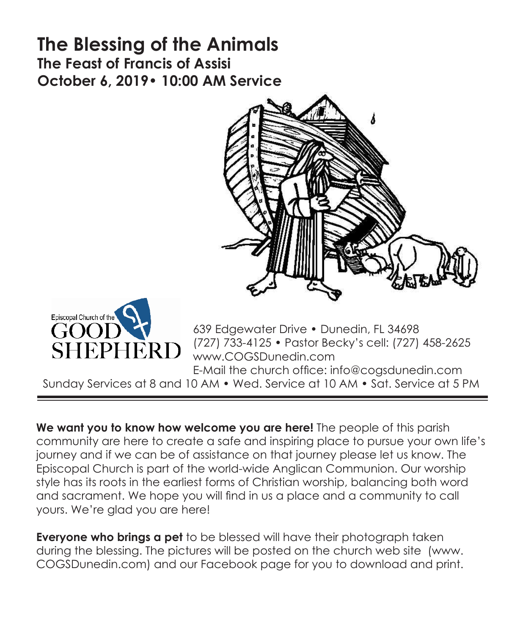# **The Blessing of the Animals The Feast of Francis of Assisi October 6, 2019• 10:00 AM Service**





639 Edgewater Drive • Dunedin, FL 34698 (727) 733-4125 • Pastor Becky's cell: (727) 458-2625 www.COGSDunedin.com E-Mail the church office: info@cogsdunedin.com

Sunday Services at 8 and 10 AM • Wed. Service at 10 AM • Sat. Service at 5 PM

**We want you to know how welcome you are here!** The people of this parish community are here to create a safe and inspiring place to pursue your own life's journey and if we can be of assistance on that journey please let us know. The Episcopal Church is part of the world-wide Anglican Communion. Our worship style has its roots in the earliest forms of Christian worship, balancing both word and sacrament. We hope you will find in us a place and a community to call yours. We're glad you are here!

**Everyone who brings a pet** to be blessed will have their photograph taken during the blessing. The pictures will be posted on the church web site (www. COGSDunedin.com) and our Facebook page for you to download and print.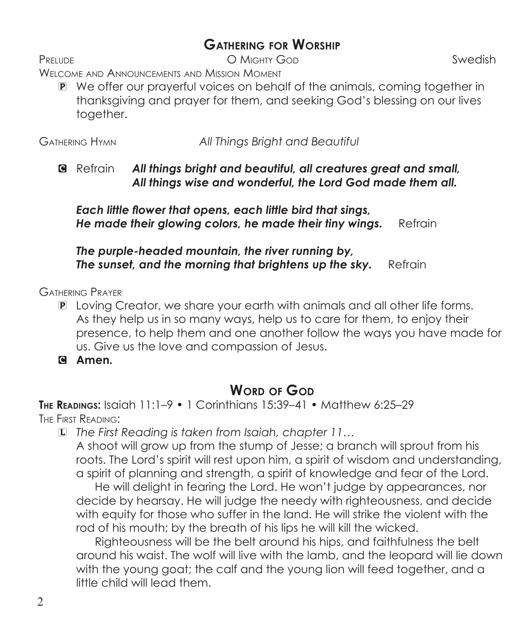### **Gathering for Worship**

Prelude Swedish Communication Communication Communication Communication Swedish

Welcome and Announcements and Mission Moment

P We offer our prayerful voices on behalf of the animals, coming together in thanksgiving and prayer for them, and seeking God's blessing on our lives together.

Gathering Hymn *All Things Bright and Beautiful*

C Refrain *All things bright and beautiful, all creatures great and small, All things wise and wonderful, the Lord God made them all.*

 *Each little flower that opens, each little bird that sings, He made their glowing colors, he made their tiny wings.* Refrain

*The purple-headed mountain, the river running by, The sunset, and the morning that brightens up the sky. Refrain* 

Gathering Prayer

- P Loving Creator, we share your earth with animals and all other life forms. As they help us in so many ways, help us to care for them, to enjoy their presence, to help them and one another follow the ways you have made for us. Give us the love and compassion of Jesus.
- C **Amen.**

#### **WORD OF GOD**

**The Readings:** Isaiah 11:1–9 • 1 Corinthians 15:39–41 • Matthew 6:25–29 The First Reading:

L *The First Reading is taken from Isaiah, chapter 11…*

 A shoot will grow up from the stump of Jesse; a branch will sprout from his roots. The Lord's spirit will rest upon him, a spirit of wisdom and understanding, a spirit of planning and strength, a spirit of knowledge and fear of the Lord.

 He will delight in fearing the Lord. He won't judge by appearances, nor decide by hearsay. He will judge the needy with righteousness, and decide with equity for those who suffer in the land. He will strike the violent with the rod of his mouth; by the breath of his lips he will kill the wicked.

 Righteousness will be the belt around his hips, and faithfulness the belt around his waist. The wolf will live with the lamb, and the leopard will lie down with the young goat; the calf and the young lion will feed together, and a little child will lead them.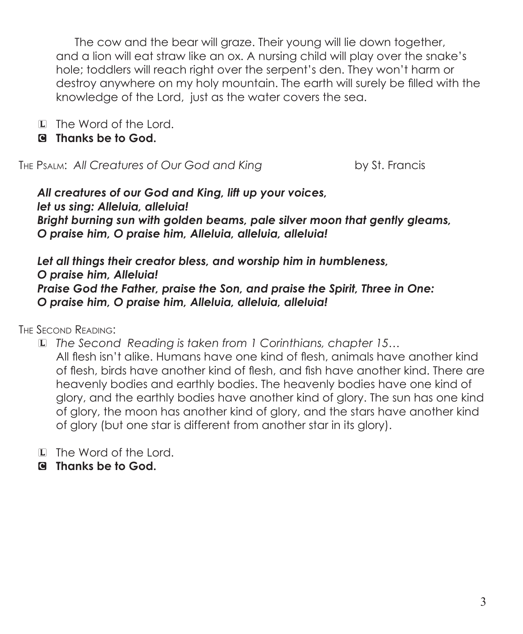The cow and the bear will graze. Their young will lie down together, and a lion will eat straw like an ox. A nursing child will play over the snake's hole; toddlers will reach right over the serpent's den. They won't harm or destroy anywhere on my holy mountain. The earth will surely be filled with the knowledge of the Lord, just as the water covers the sea.

- L The Word of the Lord.
- C **Thanks be to God.**

The Psalm: *All Creatures of Our God and King* by St. Francis

*All creatures of our God and King, lift up your voices, let us sing: Alleluia, alleluia! Bright burning sun with golden beams, pale silver moon that gently gleams, O praise him, O praise him, Alleluia, alleluia, alleluia!*

*Let all things their creator bless, and worship him in humbleness, O praise him, Alleluia! Praise God the Father, praise the Son, and praise the Spirit, Three in One: O praise him, O praise him, Alleluia, alleluia, alleluia!*

The Second Reading:

L *The Second Reading is taken from 1 Corinthians, chapter 15…* All flesh isn't alike. Humans have one kind of flesh, animals have another kind of flesh, birds have another kind of flesh, and fish have another kind. There are heavenly bodies and earthly bodies. The heavenly bodies have one kind of glory, and the earthly bodies have another kind of glory. The sun has one kind of glory, the moon has another kind of glory, and the stars have another kind of glory (but one star is different from another star in its glory).

L The Word of the Lord.

C **Thanks be to God.**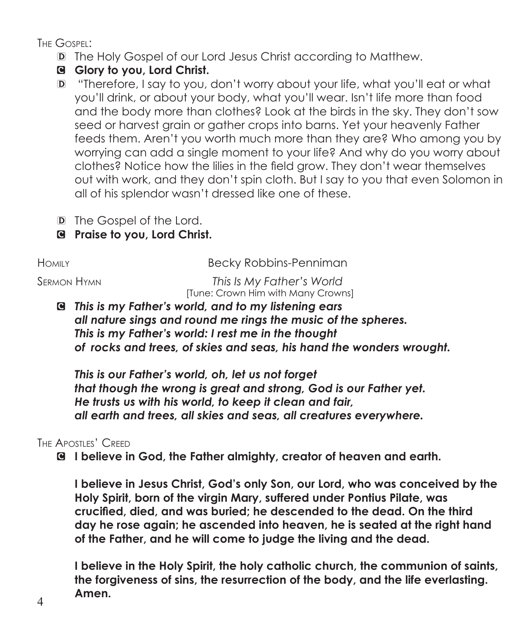The Gospel:

- D The Holy Gospel of our Lord Jesus Christ according to Matthew.
- C **Glory to you, Lord Christ.**
- D "Therefore, I say to you, don't worry about your life, what you'll eat or what you'll drink, or about your body, what you'll wear. Isn't life more than food and the body more than clothes? Look at the birds in the sky. They don't sow seed or harvest grain or gather crops into barns. Yet your heavenly Father feeds them. Aren't you worth much more than they are? Who among you by worrying can add a single moment to your life? And why do you worry about clothes? Notice how the lilies in the field grow. They don't wear themselves out with work, and they don't spin cloth. But I say to you that even Solomon in all of his splendor wasn't dressed like one of these.
- D The Gospel of the Lord.
- C **Praise to you, Lord Christ.**

HOMILY **Becky Robbins-Penniman** 

Sermon Hymn *This Is My Father's World* [Tune: Crown Him with Many Crowns]

C *This is my Father's world, and to my listening ears all nature sings and round me rings the music of the spheres. This is my Father's world: I rest me in the thought of rocks and trees, of skies and seas, his hand the wonders wrought.*

*This is our Father's world, oh, let us not forget that though the wrong is great and strong, God is our Father yet. He trusts us with his world, to keep it clean and fair, all earth and trees, all skies and seas, all creatures everywhere.*

#### THE APOSTLES' CREED

C **I believe in God, the Father almighty, creator of heaven and earth.**

**I believe in Jesus Christ, God's only Son, our Lord, who was conceived by the Holy Spirit, born of the virgin Mary, suffered under Pontius Pilate, was crucified, died, and was buried; he descended to the dead. On the third day he rose again; he ascended into heaven, he is seated at the right hand of the Father, and he will come to judge the living and the dead.**

**I believe in the Holy Spirit, the holy catholic church, the communion of saints, the forgiveness of sins, the resurrection of the body, and the life everlasting. Amen.**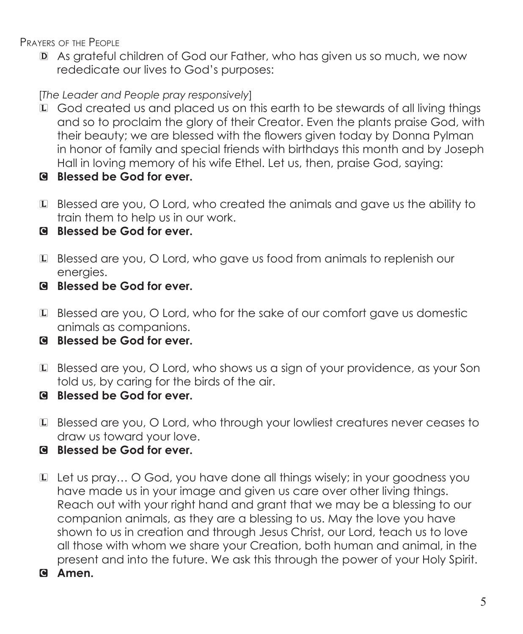Prayers of the People

D As grateful children of God our Father, who has given us so much, we now rededicate our lives to God's purposes:

[*The Leader and People pray responsively*]

- L God created us and placed us on this earth to be stewards of all living things and so to proclaim the glory of their Creator. Even the plants praise God, with their beauty; we are blessed with the flowers given today by Donna Pylman in honor of family and special friends with birthdays this month and by Joseph Hall in loving memory of his wife Ethel. Let us, then, praise God, saying:
- C **Blessed be God for ever.**
- L Blessed are you, O Lord, who created the animals and gave us the ability to train them to help us in our work.
- C **Blessed be God for ever.**
- L Blessed are you, O Lord, who gave us food from animals to replenish our energies.
- C **Blessed be God for ever.**
- L Blessed are you, O Lord, who for the sake of our comfort gave us domestic animals as companions.
- C **Blessed be God for ever.**
- L Blessed are you, O Lord, who shows us a sign of your providence, as your Son told us, by caring for the birds of the air.
- C **Blessed be God for ever.**
- L Blessed are you, O Lord, who through your lowliest creatures never ceases to draw us toward your love.
- C **Blessed be God for ever.**
- L Let us pray… O God, you have done all things wisely; in your goodness you have made us in your image and given us care over other living things. Reach out with your right hand and grant that we may be a blessing to our companion animals, as they are a blessing to us. May the love you have shown to us in creation and through Jesus Christ, our Lord, teach us to love all those with whom we share your Creation, both human and animal, in the present and into the future. We ask this through the power of your Holy Spirit.
- C **Amen.**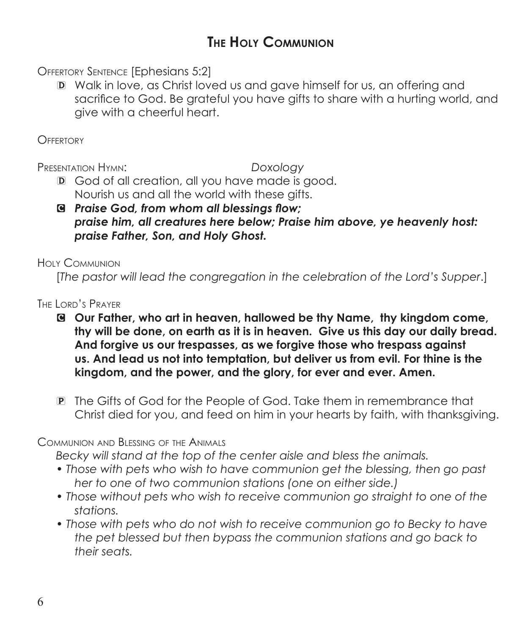## **The Holy Communion**

Offertory Sentence [Ephesians 5:2]

D Walk in love, as Christ loved us and gave himself for us, an offering and sacrifice to God. Be grateful you have gifts to share with a hurting world, and give with a cheerful heart.

**OFFERTORY** 

Presentation Hymn: *Doxology*

- D God of all creation, all you have made is good. Nourish us and all the world with these gifts.
- C *Praise God, from whom all blessings flow; praise him, all creatures here below; Praise him above, ye heavenly host: praise Father, Son, and Holy Ghost.*

Holy Communion

[*The pastor will lead the congregation in the celebration of the Lord's Supper*.]

The Lord's Prayer

- C **Our Father, who art in heaven, hallowed be thy Name, thy kingdom come, thy will be done, on earth as it is in heaven. Give us this day our daily bread. And forgive us our trespasses, as we forgive those who trespass against us. And lead us not into temptation, but deliver us from evil. For thine is the kingdom, and the power, and the glory, for ever and ever. Amen.**
- P The Gifts of God for the People of God. Take them in remembrance that Christ died for you, and feed on him in your hearts by faith, with thanksgiving.

Communion and Blessing of the Animals

*Becky will stand at the top of the center aisle and bless the animals.*

- *Those with pets who wish to have communion get the blessing, then go past her to one of two communion stations (one on either side.)*
- *Those without pets who wish to receive communion go straight to one of the stations.*
- *Those with pets who do not wish to receive communion go to Becky to have the pet blessed but then bypass the communion stations and go back to their seats.*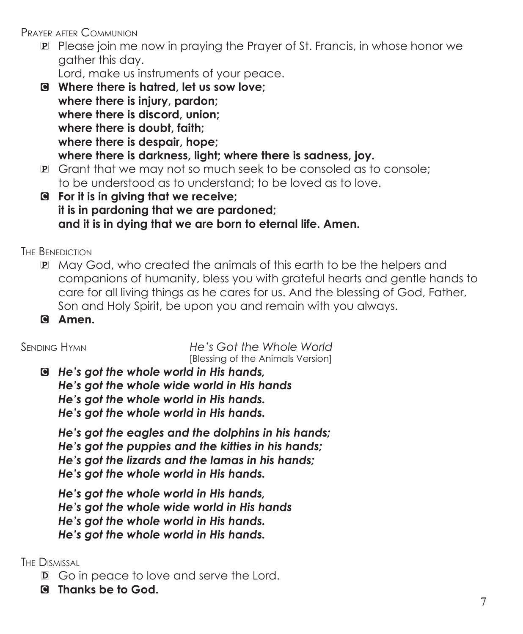Prayer after Communion

P Please join me now in praying the Prayer of St. Francis, in whose honor we gather this day.

Lord, make us instruments of your peace.

- C **Where there is hatred, let us sow love; where there is injury, pardon; where there is discord, union; where there is doubt, faith; where there is despair, hope; where there is darkness, light; where there is sadness, joy.**
- P Grant that we may not so much seek to be consoled as to console; to be understood as to understand; to be loved as to love.
- C **For it is in giving that we receive; it is in pardoning that we are pardoned; and it is in dying that we are born to eternal life. Amen.**

THE BENEDICTION

- P May God, who created the animals of this earth to be the helpers and companions of humanity, bless you with grateful hearts and gentle hands to care for all living things as he cares for us. And the blessing of God, Father, Son and Holy Spirit, be upon you and remain with you always.
- C **Amen.**

Sending Hymn *He's Got the Whole World* [Blessing of the Animals Version]

C *He's got the whole world in His hands, He's got the whole wide world in His hands He's got the whole world in His hands. He's got the whole world in His hands.*

 *He's got the eagles and the dolphins in his hands; He's got the puppies and the kitties in his hands; He's got the lizards and the lamas in his hands; He's got the whole world in His hands.*

*He's got the whole world in His hands, He's got the whole wide world in His hands He's got the whole world in His hands. He's got the whole world in His hands.*

The Dismissal

- D Go in peace to love and serve the Lord.
- C **Thanks be to God.**